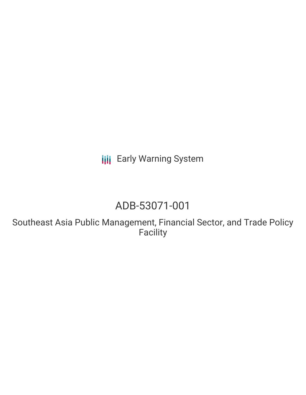**III** Early Warning System

# ADB-53071-001

Southeast Asia Public Management, Financial Sector, and Trade Policy Facility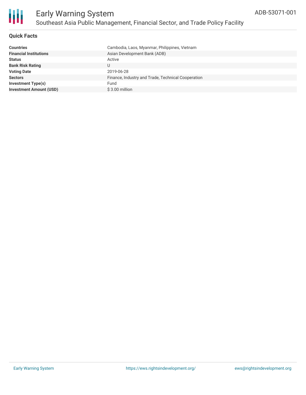

### **Quick Facts**

| <b>Countries</b>               | Cambodia, Laos, Myanmar, Philippines, Vietnam      |
|--------------------------------|----------------------------------------------------|
| <b>Financial Institutions</b>  | Asian Development Bank (ADB)                       |
| <b>Status</b>                  | Active                                             |
| <b>Bank Risk Rating</b>        | U                                                  |
| <b>Voting Date</b>             | 2019-06-28                                         |
| <b>Sectors</b>                 | Finance, Industry and Trade, Technical Cooperation |
| <b>Investment Type(s)</b>      | Fund                                               |
| <b>Investment Amount (USD)</b> | $$3.00$ million                                    |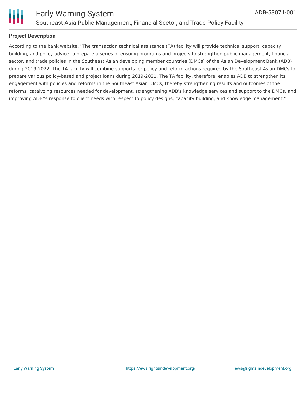



### **Project Description**

According to the bank website, "The transaction technical assistance (TA) facility will provide technical support, capacity building, and policy advice to prepare a series of ensuing programs and projects to strengthen public management, financial sector, and trade policies in the Southeast Asian developing member countries (DMCs) of the Asian Development Bank (ADB) during 2019-2022. The TA facility will combine supports for policy and reform actions required by the Southeast Asian DMCs to prepare various policy-based and project loans during 2019-2021. The TA facility, therefore, enables ADB to strengthen its engagement with policies and reforms in the Southeast Asian DMCs, thereby strengthening results and outcomes of the reforms, catalyzing resources needed for development, strengthening ADB's knowledge services and support to the DMCs, and improving ADB''s response to client needs with respect to policy designs, capacity building, and knowledge management."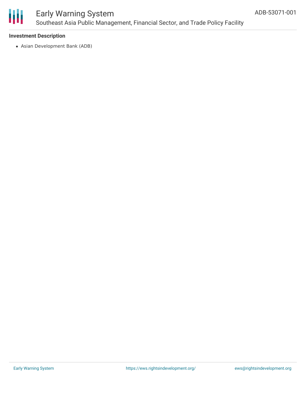

### Early Warning System Southeast Asia Public Management, Financial Sector, and Trade Policy Facility

### **Investment Description**

Asian Development Bank (ADB)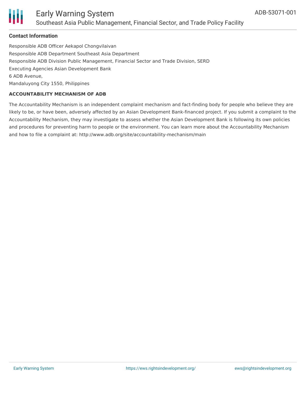

### Early Warning System Southeast Asia Public Management, Financial Sector, and Trade Policy Facility

### **Contact Information**

Responsible ADB Officer Aekapol Chongvilaivan Responsible ADB Department Southeast Asia Department Responsible ADB Division Public Management, Financial Sector and Trade Division, SERD Executing Agencies Asian Development Bank 6 ADB Avenue, Mandaluyong City 1550, Philippines

#### **ACCOUNTABILITY MECHANISM OF ADB**

The Accountability Mechanism is an independent complaint mechanism and fact-finding body for people who believe they are likely to be, or have been, adversely affected by an Asian Development Bank-financed project. If you submit a complaint to the Accountability Mechanism, they may investigate to assess whether the Asian Development Bank is following its own policies and procedures for preventing harm to people or the environment. You can learn more about the Accountability Mechanism and how to file a complaint at: http://www.adb.org/site/accountability-mechanism/main